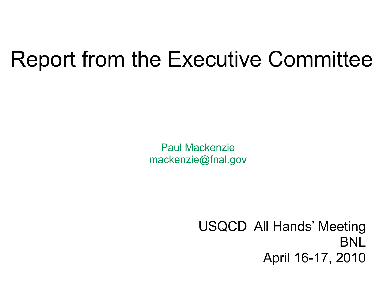### Report from the Executive Committee

Paul Mackenzie [mackenzie@fnal.gov](mailto:mackenzie@fnal.gov)

> USQCD All Hands' Meeting BNL April 16-17, 2010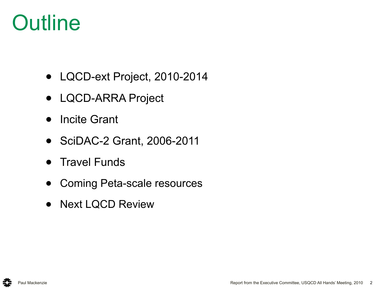### **Outline**

- LQCD-ext Project, 2010-2014
- LQCD-ARRA Project
- Incite Grant
- SciDAC-2 Grant, 2006-2011
- Travel Funds
- Coming Peta-scale resources
- Next LQCD Review

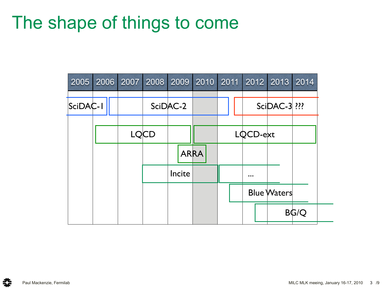### The shape of things to come

| 2005     | 2006 |  |             | 2007 2008 2009 2010 | 2011 |                         | 2012 2013           | 2014        |
|----------|------|--|-------------|---------------------|------|-------------------------|---------------------|-------------|
| SciDAC-I |      |  |             | SciDAC-2            |      |                         | <b>SciDAC-3 ???</b> |             |
|          |      |  | <b>LQCD</b> |                     |      | LQCD-ext                |                     |             |
|          |      |  |             | <b>ARRA</b>         |      |                         |                     |             |
|          |      |  |             | Incite              |      | $\bullet\bullet\bullet$ |                     |             |
|          |      |  |             |                     |      |                         | <b>Blue Waters</b>  |             |
|          |      |  |             |                     |      |                         |                     | <b>BG/Q</b> |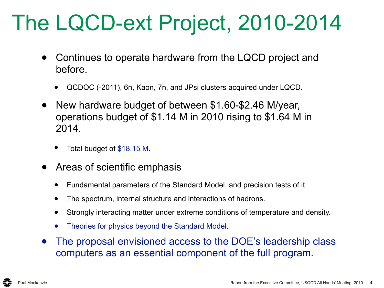## The LQCD-ext Project, 2010-2014

- Continues to operate hardware from the LQCD project and before.
	- QCDOC (-2011), 6n, Kaon, 7n, and JPsi clusters acquired under LQCD.
- New hardware budget of between \$1.60-\$2.46 M/year, operations budget of \$1.14 M in 2010 rising to \$1.64 M in 2014.
	- Total budget of \$18.15 M.
- Areas of scientific emphasis
	- Fundamental parameters of the Standard Model, and precision tests of it.
	- The spectrum, internal structure and interactions of hadrons.
	- Strongly interacting matter under extreme conditions of temperature and density.
	- Theories for physics beyond the Standard Model.
- The proposal envisioned access to the DOE's leadership class computers as an essential component of the full program.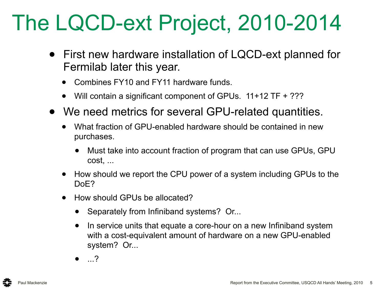## The LQCD-ext Project, 2010-2014

- First new hardware installation of LQCD-ext planned for Fermilab later this year.
	- Combines FY10 and FY11 hardware funds.
	- Will contain a significant component of GPUs. 11+12 TF + ???
- We need metrics for several GPU-related quantities.
	- What fraction of GPU-enabled hardware should be contained in new purchases.
		- Must take into account fraction of program that can use GPUs, GPU cost, ...
	- How should we report the CPU power of a system including GPUs to the DoE?
	- How should GPUs be allocated?
		- Separately from Infiniband systems? Or...
		- In service units that equate a core-hour on a new Infiniband system with a cost-equivalent amount of hardware on a new GPU-enabled system? Or...
		- ...?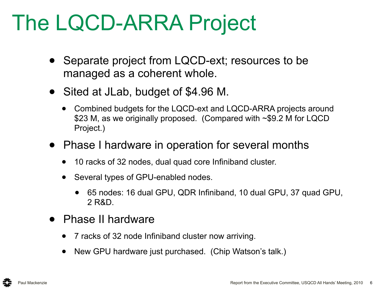## The LQCD-ARRA Project

- Separate project from LQCD-ext; resources to be managed as a coherent whole.
- Sited at JLab, budget of \$4.96 M.
	- Combined budgets for the LQCD-ext and LQCD-ARRA projects around \$23 M, as we originally proposed. (Compared with ~\$9.2 M for LQCD Project.)
- Phase I hardware in operation for several months
	- 10 racks of 32 nodes, dual quad core Infiniband cluster.
	- Several types of GPU-enabled nodes.
		- 65 nodes: 16 dual GPU, QDR Infiniband, 10 dual GPU, 37 quad GPU, 2 R&D.
- **Phase II hardware** 
	- 7 racks of 32 node Infiniband cluster now arriving.
	- New GPU hardware just purchased. (Chip Watson's talk.)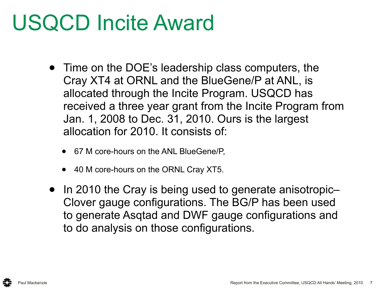### USQCD Incite Award

- Time on the DOE's leadership class computers, the Cray XT4 at ORNL and the BlueGene/P at ANL, is allocated through the Incite Program. USQCD has received a three year grant from the Incite Program from Jan. 1, 2008 to Dec. 31, 2010. Ours is the largest allocation for 2010. It consists of:
	- 67 M core-hours on the ANL BlueGene/P,
	- 40 M core-hours on the ORNL Cray XT5.
- In 2010 the Cray is being used to generate anisotropic-Clover gauge configurations. The BG/P has been used to generate Asqtad and DWF gauge configurations and to do analysis on those configurations.

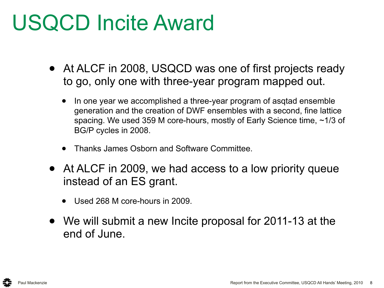### USQCD Incite Award

- At ALCF in 2008, USQCD was one of first projects ready to go, only one with three-year program mapped out.
	- In one year we accomplished a three-year program of asqtad ensemble generation and the creation of DWF ensembles with a second, fine lattice spacing. We used 359 M core-hours, mostly of Early Science time, ~1/3 of BG/P cycles in 2008.
	- Thanks James Osborn and Software Committee.
- At ALCF in 2009, we had access to a low priority queue instead of an ES grant.
	- Used 268 M core-hours in 2009.
- We will submit a new Incite proposal for 2011-13 at the end of June.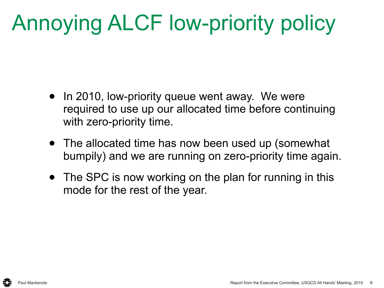# Annoying ALCF low-priority policy

- In 2010, low-priority queue went away. We were required to use up our allocated time before continuing with zero-priority time.
- The allocated time has now been used up (somewhat bumpily) and we are running on zero-priority time again.
- The SPC is now working on the plan for running in this mode for the rest of the year.

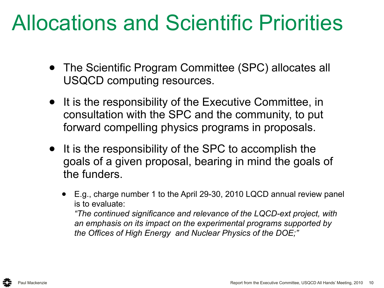### Allocations and Scientific Priorities

- The Scientific Program Committee (SPC) allocates all USQCD computing resources.
- It is the responsibility of the Executive Committee, in consultation with the SPC and the community, to put forward compelling physics programs in proposals.
- It is the responsibility of the SPC to accomplish the goals of a given proposal, bearing in mind the goals of the funders.
	- E.g., charge number 1 to the April 29-30, 2010 LQCD annual review panel is to evaluate: *"The continued significance and relevance of the LQCD-ext project, with*

*an emphasis on its impact on the experimental programs supported by the Offices of High Energy and Nuclear Physics of the DOE;"*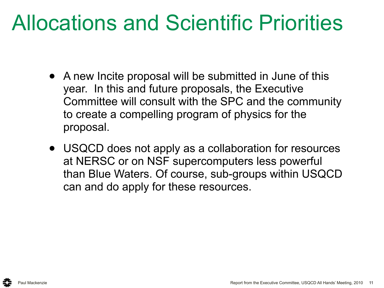### Allocations and Scientific Priorities

- A new Incite proposal will be submitted in June of this year. In this and future proposals, the Executive Committee will consult with the SPC and the community to create a compelling program of physics for the proposal.
- USQCD does not apply as a collaboration for resources at NERSC or on NSF supercomputers less powerful than Blue Waters. Of course, sub-groups within USQCD can and do apply for these resources.

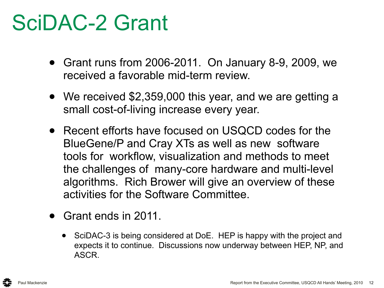### SciDAC-2 Grant

- Grant runs from 2006-2011. On January 8-9, 2009, we received a favorable mid-term review.
- We received \$2,359,000 this year, and we are getting a small cost-of-living increase every year.
- Recent efforts have focused on USQCD codes for the BlueGene/P and Cray XTs as well as new software tools for workflow, visualization and methods to meet the challenges of many-core hardware and multi-level algorithms. Rich Brower will give an overview of these activities for the Software Committee.
- Grant ends in 2011.
	- SciDAC-3 is being considered at DoE. HEP is happy with the project and expects it to continue. Discussions now underway between HEP, NP, and ASCR.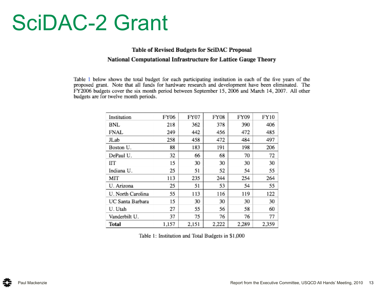### SciDAC-2 Grant

#### Table of Revised Budgets for SciDAC Proposal National Computational Infrastructure for Lattice Gauge Theory

Table 1 below shows the total budget for each participating institution in each of the five years of the proposed grant. Note that all funds for hardware research and development have been eliminated. The FY2006 budgets cover the six month period between September 15, 2006 and March 14, 2007. All other budgets are for twelve month periods.

| Institution       | FY06  | FY07  | FY08  | FY09  | FY10  |
|-------------------|-------|-------|-------|-------|-------|
| BNL               | 218   | 362   | 378   | 390   | 406   |
| FNAL              | 249   | 442   | 456   | 472   | 485   |
| JLab              | 258   | 458   | 472   | 484   | 497   |
| Boston U.         | 88    | 183   | 191   | 198   | 206   |
| DePaul U.         | 32    | 66    | 68    | 70    | 72    |
| IГТ               | 15    | 30    | 30    | 30    | 30    |
| Indiana U.        | 25    | 51    | 52    | 54    | 55    |
| МIТ               | 113   | 235   | 244   | 254   | 264   |
| U. Arizona        | 25    | 51    | 53    | 54    | 55    |
| U. North Carolina | 55    | 113   | 116   | 119   | 122   |
| UC Santa Barbara  | 15    | 30    | 30    | 30    | 30    |
| U. Utah           | 27    | 55    | 56    | 58    | 60    |
| Vanderbilt U.     | 37    | 75    | 76    | 76    | 77    |
| Total             | 1,157 | 2,151 | 2,222 | 2.289 | 2.359 |

Table 1: Institution and Total Budgets in \$1,000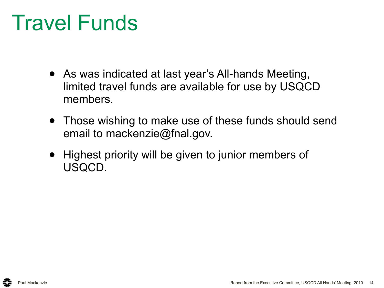### Travel Funds

- As was indicated at last year's All-hands Meeting, limited travel funds are available for use by USQCD members.
- Those wishing to make use of these funds should send email to mackenzie@fnal.gov.
- Highest priority will be given to junior members of USQCD.

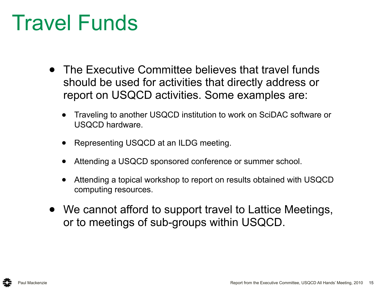### Travel Funds

- The Executive Committee believes that travel funds should be used for activities that directly address or report on USQCD activities. Some examples are:
	- Traveling to another USQCD institution to work on SciDAC software or USQCD hardware.
	- Representing USQCD at an ILDG meeting.
	- Attending a USQCD sponsored conference or summer school.
	- Attending a topical workshop to report on results obtained with USQCD computing resources.
- We cannot afford to support travel to Lattice Meetings, or to meetings of sub-groups within USQCD.

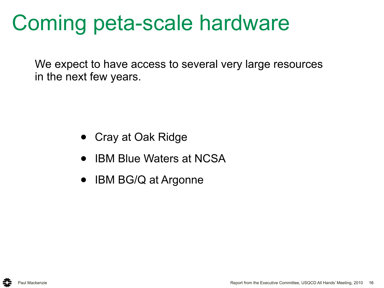### Coming peta-scale hardware

We expect to have access to several very large resources in the next few years.

- Cray at Oak Ridge
- **IBM Blue Waters at NCSA**
- IBM BG/Q at Argonne

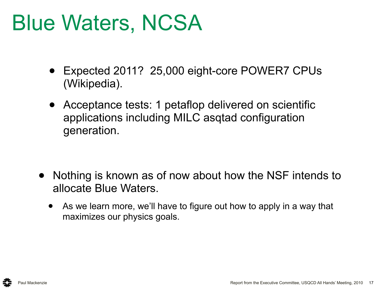### Blue Waters, NCSA

- Expected 2011? 25,000 eight-core POWER7 CPUs (Wikipedia).
- Acceptance tests: 1 petaflop delivered on scientific applications including MILC asqtad configuration generation.

- Nothing is known as of now about how the NSF intends to allocate Blue Waters.
	- As we learn more, we'll have to figure out how to apply in a way that maximizes our physics goals.

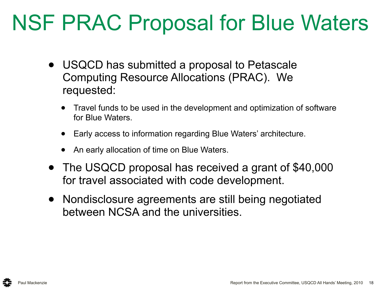### NSF PRAC Proposal for Blue Waters

- USQCD has submitted a proposal to Petascale Computing Resource Allocations (PRAC). We requested:
	- Travel funds to be used in the development and optimization of software for Blue Waters.
	- Early access to information regarding Blue Waters' architecture.
	- An early allocation of time on Blue Waters.
- The USQCD proposal has received a grant of \$40,000 for travel associated with code development.
- Nondisclosure agreements are still being negotiated between NCSA and the universities.

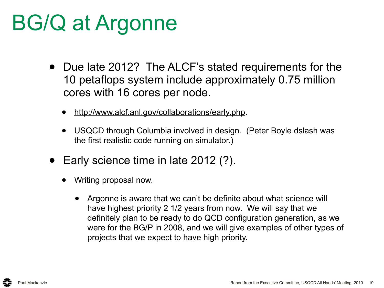## BG/Q at Argonne

- Due late 2012? The ALCF's stated requirements for the 10 petaflops system include approximately 0.75 million cores with 16 cores per node.
	- [http://www.alcf.anl.gov/collaborations/early.php.](http://www.alcf.anl.gov/collaborations/early.php)
	- USQCD through Columbia involved in design. (Peter Boyle dslash was the first realistic code running on simulator.)
- Early science time in late 2012 (?).
	- Writing proposal now.
		- Argonne is aware that we can't be definite about what science will have highest priority 2 1/2 years from now. We will say that we definitely plan to be ready to do QCD configuration generation, as we were for the BG/P in 2008, and we will give examples of other types of projects that we expect to have high priority.

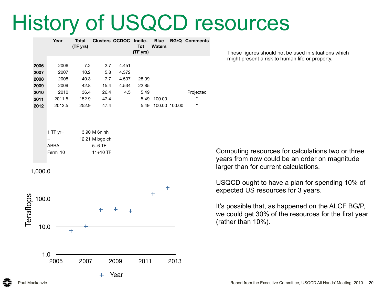### History of USQCD resources

|           |                  | Year                                                       | <b>Total</b><br>(TF yrs) |                                                          | <b>Clusters QCDOC Incite-</b> | <b>Tot</b><br>(TF yrs) | <b>Blue</b><br><b>Waters</b> |      | <b>BG/Q Comments</b>                   |
|-----------|------------------|------------------------------------------------------------|--------------------------|----------------------------------------------------------|-------------------------------|------------------------|------------------------------|------|----------------------------------------|
|           | 2006             | 2006                                                       | 7.2                      | 2.7                                                      | 4.451                         |                        |                              |      |                                        |
|           | 2007             | 2007                                                       | 10.2                     | 5.8                                                      | 4.372                         |                        |                              |      |                                        |
|           | 2008             | 2008                                                       | 40.3                     | 7.7                                                      | 4.507                         | 28.09                  |                              |      |                                        |
|           | 2009             | 2009                                                       | 42.8                     | 15.4                                                     | 4.534                         | 22.85                  |                              |      |                                        |
|           | 2010             | 2010                                                       | 36.4                     | 26.4                                                     | 4.5                           | 5.49                   |                              |      | Projected                              |
|           | 2011             | 2011.5                                                     | 152.9                    | 47.4                                                     |                               | 5.49                   | 100.00                       |      | $\epsilon$                             |
|           | 2012             | 2012.5                                                     | 252.9                    | 47.4                                                     |                               | 5.49                   | 100.00 100.00                |      | $\pmb{\mathfrak{c}}\pmb{\mathfrak{c}}$ |
|           |                  | 1 TF $yr=$<br>$\qquad \qquad =$<br><b>ARRA</b><br>Fermi 10 |                          | 3.90 M 6n nh<br>12.21 M bgp ch<br>$5+6$ TF<br>$11+10$ TF |                               |                        |                              |      |                                        |
| <u>80</u> | 1,000.0<br>100.0 |                                                            |                          |                                                          |                               |                        | ٠<br>╋                       |      |                                        |
| Teraflo   | 10.0<br>1.0      |                                                            | ╋                        |                                                          | ╋                             |                        |                              |      |                                        |
|           |                  | 2005                                                       | 2007                     |                                                          | 2009                          | 2011                   |                              | 2013 |                                        |
|           |                  |                                                            |                          |                                                          |                               |                        |                              |      |                                        |
|           |                  |                                                            |                          | + Year                                                   |                               |                        |                              |      |                                        |

These figures should not be used in situations which might present a risk to human life or property.

Computing resources for calculations two or three years from now could be an order on magnitude larger than for current calculations.

USQCD ought to have a plan for spending 10% of expected US resources for 3 years.

It's possible that, as happened on the ALCF BG/P, we could get 30% of the resources for the first year (rather than 10%).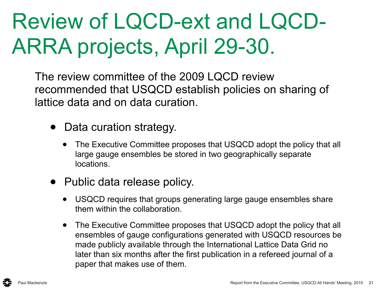# Review of LQCD-ext and LQCD-ARRA projects, April 29-30.

The review committee of the 2009 LQCD review recommended that USQCD establish policies on sharing of lattice data and on data curation.

- Data curation strategy.
	- The Executive Committee proposes that USQCD adopt the policy that all large gauge ensembles be stored in two geographically separate locations.
- Public data release policy.
	- USQCD requires that groups generating large gauge ensembles share them within the collaboration.
	- The Executive Committee proposes that USQCD adopt the policy that all ensembles of gauge configurations generated with USQCD resources be made publicly available through the International Lattice Data Grid no later than six months after the first publication in a refereed journal of a paper that makes use of them.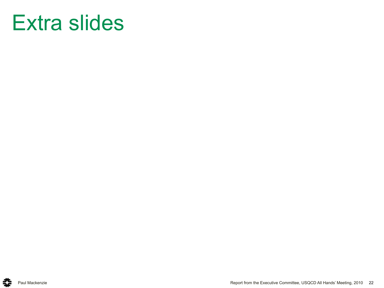### Extra slides